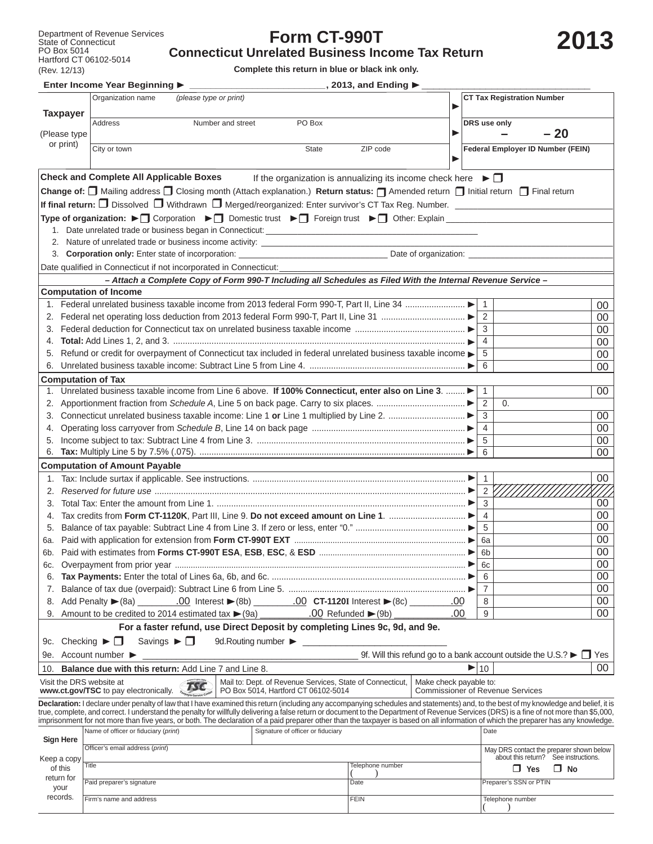## **Form CT-990T**

## **Connecticut Unrelated Business Income Tax Return**

**Complete this return in blue or black ink only.**

|                                         | Enter Income Year Beginning ▶                                                                                                                                                                                                                                                                                                                                                      |                                                           |              | $\_$ , 2013, and Ending $\blacktriangleright$ $\_$                                         |                        |                          |                                          |                                      |          |  |
|-----------------------------------------|------------------------------------------------------------------------------------------------------------------------------------------------------------------------------------------------------------------------------------------------------------------------------------------------------------------------------------------------------------------------------------|-----------------------------------------------------------|--------------|--------------------------------------------------------------------------------------------|------------------------|--------------------------|------------------------------------------|--------------------------------------|----------|--|
| <b>Taxpayer</b>                         | Organization name                                                                                                                                                                                                                                                                                                                                                                  | (please type or print)<br>▶                               |              |                                                                                            |                        |                          | <b>CT Tax Registration Number</b>        |                                      |          |  |
| (Please type                            | <b>Address</b>                                                                                                                                                                                                                                                                                                                                                                     | Number and street<br>PO Box                               |              |                                                                                            | ▶                      |                          | DRS use only                             | $-20$                                |          |  |
| or print)                               | City or town                                                                                                                                                                                                                                                                                                                                                                       |                                                           | <b>State</b> | ZIP code                                                                                   | ▶                      |                          | Federal Employer ID Number (FEIN)        |                                      |          |  |
|                                         | <b>Check and Complete All Applicable Boxes</b>                                                                                                                                                                                                                                                                                                                                     |                                                           |              | If the organization is annualizing its income check here $\blacktriangleright \Box$        |                        |                          |                                          |                                      |          |  |
|                                         | Change of: □ Mailing address □ Closing month (Attach explanation.) Return status: □ Amended return □ Initial return □ Final return                                                                                                                                                                                                                                                 |                                                           |              |                                                                                            |                        |                          |                                          |                                      |          |  |
|                                         | If final return: $\Box$ Dissolved $\Box$ Withdrawn $\Box$ Merged/reorganized: Enter survivor's CT Tax Reg. Number.                                                                                                                                                                                                                                                                 |                                                           |              |                                                                                            |                        |                          |                                          |                                      |          |  |
|                                         | Type of organization: ► Corporation ► Comestic trust ► Comestic trust ► Comestion: Explain                                                                                                                                                                                                                                                                                         |                                                           |              |                                                                                            |                        |                          |                                          |                                      |          |  |
|                                         |                                                                                                                                                                                                                                                                                                                                                                                    |                                                           |              |                                                                                            |                        |                          |                                          |                                      |          |  |
|                                         | 2. Nature of unrelated trade or business income activity: _______________________                                                                                                                                                                                                                                                                                                  |                                                           |              |                                                                                            |                        |                          |                                          |                                      |          |  |
|                                         | 3. Corporation only: Enter state of incorporation: _____________________________                                                                                                                                                                                                                                                                                                   |                                                           |              |                                                                                            |                        |                          |                                          |                                      |          |  |
|                                         | Date qualified in Connecticut if not incorporated in Connecticut:                                                                                                                                                                                                                                                                                                                  |                                                           |              |                                                                                            |                        |                          |                                          |                                      |          |  |
|                                         | - Attach a Complete Copy of Form 990-T Including all Schedules as Filed With the Internal Revenue Service -                                                                                                                                                                                                                                                                        |                                                           |              |                                                                                            |                        |                          |                                          |                                      |          |  |
|                                         | <b>Computation of Income</b>                                                                                                                                                                                                                                                                                                                                                       |                                                           |              |                                                                                            |                        |                          |                                          |                                      |          |  |
|                                         | 1. Federal unrelated business taxable income from 2013 federal Form 990-T, Part II, Line 34                                                                                                                                                                                                                                                                                        |                                                           |              |                                                                                            |                        |                          | $\overline{1}$                           |                                      | 00       |  |
|                                         |                                                                                                                                                                                                                                                                                                                                                                                    |                                                           |              |                                                                                            |                        |                          | 2                                        |                                      | $00\,$   |  |
|                                         |                                                                                                                                                                                                                                                                                                                                                                                    |                                                           |              |                                                                                            |                        |                          | 3                                        |                                      | $00\,$   |  |
| 4.                                      |                                                                                                                                                                                                                                                                                                                                                                                    |                                                           |              |                                                                                            |                        |                          | 4                                        |                                      | $00\,$   |  |
| 5.                                      | Refund or credit for overpayment of Connecticut tax included in federal unrelated business taxable income                                                                                                                                                                                                                                                                          |                                                           |              |                                                                                            |                        |                          | 5                                        |                                      | $00\,$   |  |
|                                         |                                                                                                                                                                                                                                                                                                                                                                                    |                                                           |              |                                                                                            |                        |                          | 6                                        |                                      | $00\,$   |  |
| <b>Computation of Tax</b>               |                                                                                                                                                                                                                                                                                                                                                                                    |                                                           |              |                                                                                            |                        |                          |                                          |                                      |          |  |
| 1.                                      | Unrelated business taxable income from Line 6 above. If 100% Connecticut, enter also on Line 3.                                                                                                                                                                                                                                                                                    |                                                           |              |                                                                                            |                        |                          | $\overline{1}$                           |                                      | 00       |  |
|                                         |                                                                                                                                                                                                                                                                                                                                                                                    |                                                           |              |                                                                                            |                        |                          | 2<br>0.<br>3                             |                                      |          |  |
|                                         |                                                                                                                                                                                                                                                                                                                                                                                    |                                                           |              |                                                                                            |                        |                          | $\overline{4}$                           |                                      | 00<br>00 |  |
|                                         |                                                                                                                                                                                                                                                                                                                                                                                    |                                                           |              |                                                                                            |                        |                          | 5                                        |                                      | $00\,$   |  |
| 6.                                      |                                                                                                                                                                                                                                                                                                                                                                                    |                                                           |              |                                                                                            |                        |                          | 6                                        |                                      | 00       |  |
|                                         | <b>Computation of Amount Payable</b>                                                                                                                                                                                                                                                                                                                                               |                                                           |              |                                                                                            |                        |                          |                                          |                                      |          |  |
|                                         |                                                                                                                                                                                                                                                                                                                                                                                    |                                                           |              |                                                                                            |                        |                          | $\overline{1}$                           |                                      | $00\,$   |  |
| 2.                                      |                                                                                                                                                                                                                                                                                                                                                                                    |                                                           |              |                                                                                            |                        |                          | $2 \left\lceil \right.$                  |                                      |          |  |
| 3.                                      |                                                                                                                                                                                                                                                                                                                                                                                    |                                                           |              |                                                                                            |                        |                          | 3                                        |                                      | 00       |  |
| 4.                                      |                                                                                                                                                                                                                                                                                                                                                                                    |                                                           |              |                                                                                            |                        |                          | $\overline{4}$                           |                                      | $00\,$   |  |
| 5.                                      |                                                                                                                                                                                                                                                                                                                                                                                    |                                                           |              |                                                                                            |                        |                          | 5                                        |                                      | $00\,$   |  |
|                                         |                                                                                                                                                                                                                                                                                                                                                                                    |                                                           |              |                                                                                            |                        |                          | 6a                                       |                                      | $00\,$   |  |
|                                         |                                                                                                                                                                                                                                                                                                                                                                                    |                                                           |              |                                                                                            |                        |                          | 6b                                       |                                      | 00       |  |
| 6c.                                     |                                                                                                                                                                                                                                                                                                                                                                                    |                                                           |              |                                                                                            |                        |                          | 6с                                       |                                      | $00\,$   |  |
| 6.                                      |                                                                                                                                                                                                                                                                                                                                                                                    |                                                           |              |                                                                                            |                        |                          | 6                                        |                                      | $00\,$   |  |
| 7.                                      |                                                                                                                                                                                                                                                                                                                                                                                    |                                                           |              |                                                                                            |                        |                          | $\overline{7}$                           |                                      | $00\,$   |  |
|                                         |                                                                                                                                                                                                                                                                                                                                                                                    |                                                           |              |                                                                                            |                        |                          | 8                                        |                                      | 00       |  |
|                                         |                                                                                                                                                                                                                                                                                                                                                                                    |                                                           |              |                                                                                            | .00.                   |                          | 9                                        |                                      | 00       |  |
|                                         | For a faster refund, use Direct Deposit by completing Lines 9c, 9d, and 9e.                                                                                                                                                                                                                                                                                                        |                                                           |              |                                                                                            |                        |                          |                                          |                                      |          |  |
| 9c. Checking $\blacktriangleright \Box$ | Savings $\blacktriangleright \Box$                                                                                                                                                                                                                                                                                                                                                 | 9d. Routing number >                                      |              |                                                                                            |                        |                          |                                          |                                      |          |  |
|                                         | 9e. Account number ▶                                                                                                                                                                                                                                                                                                                                                               |                                                           |              | 9f. Will this refund go to a bank account outside the U.S.? $\blacktriangleright \Box$ Yes |                        |                          |                                          |                                      |          |  |
| 10.                                     | Balance due with this return: Add Line 7 and Line 8.                                                                                                                                                                                                                                                                                                                               |                                                           |              |                                                                                            |                        | $\blacktriangleright$ 10 |                                          |                                      | 00       |  |
| Visit the DRS website at                | <b>TSC</b>                                                                                                                                                                                                                                                                                                                                                                         | Mail to: Dept. of Revenue Services, State of Connecticut, |              |                                                                                            | Make check payable to: |                          |                                          |                                      |          |  |
|                                         | www.ct.gov/TSC to pay electronically.<br><b>Sayer Service Control</b>                                                                                                                                                                                                                                                                                                              | PO Box 5014, Hartford CT 06102-5014                       |              |                                                                                            |                        |                          | <b>Commissioner of Revenue Services</b>  |                                      |          |  |
|                                         | Declaration: I declare under penalty of law that I have examined this return (including any accompanying schedules and statements) and, to the best of my knowledge and belief, it is<br>true, complete, and correct. I understand the penalty for willfully delivering a false return or document to the Department of Revenue Services (DRS) is a fine of not more than \$5,000. |                                                           |              |                                                                                            |                        |                          |                                          |                                      |          |  |
|                                         | imprisonment for not more than five years, or both. The declaration of a paid preparer other than the taxpayer is based on all information of which the preparer has any knowledge.                                                                                                                                                                                                |                                                           |              |                                                                                            |                        |                          |                                          |                                      |          |  |
| <b>Sign Here</b>                        | Name of officer or fiduciary (print)<br>Signature of officer or fiduciary                                                                                                                                                                                                                                                                                                          |                                                           |              |                                                                                            |                        |                          | Date                                     |                                      |          |  |
|                                         | Officer's email address (print)                                                                                                                                                                                                                                                                                                                                                    |                                                           |              |                                                                                            |                        |                          | May DRS contact the preparer shown below |                                      |          |  |
| Keep a copy                             | Title                                                                                                                                                                                                                                                                                                                                                                              |                                                           |              | Telephone number                                                                           |                        |                          |                                          | about this return? See instructions. |          |  |
| of this<br>return for                   |                                                                                                                                                                                                                                                                                                                                                                                    |                                                           |              |                                                                                            |                        |                          | $\Box$ Yes                               | $\Box$ No                            |          |  |
| your                                    | Paid preparer's signature                                                                                                                                                                                                                                                                                                                                                          |                                                           |              | Date                                                                                       |                        |                          | Preparer's SSN or PTIN                   |                                      |          |  |
| records.                                | Firm's name and address                                                                                                                                                                                                                                                                                                                                                            | <b>FEIN</b>                                               |              |                                                                                            |                        |                          | Telephone number<br>$\rightarrow$        |                                      |          |  |